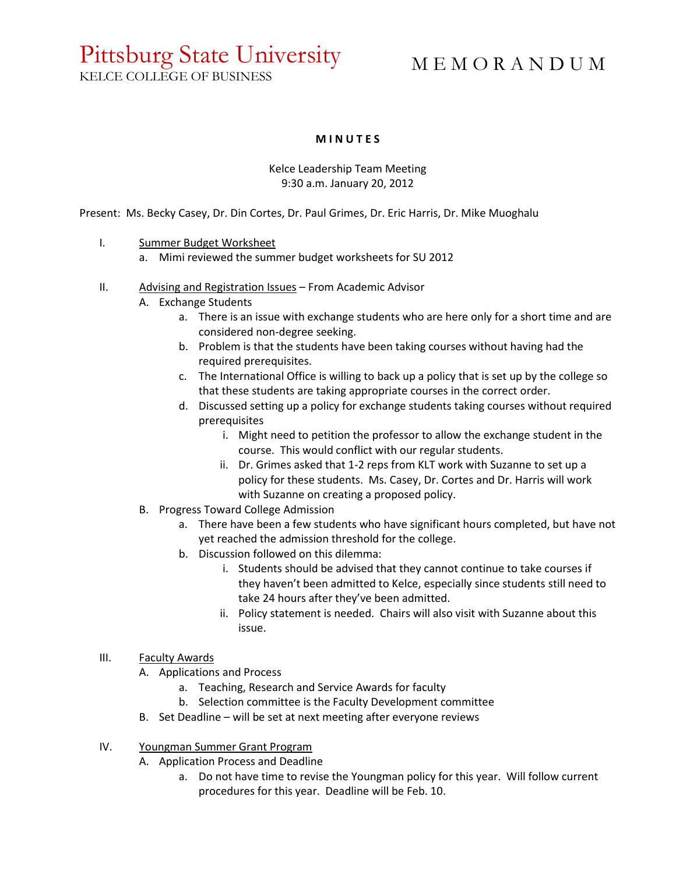# Pittsburg State University

M E M O R A N D U M

KELCE COLLEGE OF BUSINESS

# **M I N U T E S**

#### Kelce Leadership Team Meeting 9:30 a.m. January 20, 2012

Present: Ms. Becky Casey, Dr. Din Cortes, Dr. Paul Grimes, Dr. Eric Harris, Dr. Mike Muoghalu

- I. Summer Budget Worksheet
	- a. Mimi reviewed the summer budget worksheets for SU 2012
- II. Advising and Registration Issues From Academic Advisor
	- A. Exchange Students
		- a. There is an issue with exchange students who are here only for a short time and are considered non-degree seeking.
		- b. Problem is that the students have been taking courses without having had the required prerequisites.
		- c. The International Office is willing to back up a policy that is set up by the college so that these students are taking appropriate courses in the correct order.
		- d. Discussed setting up a policy for exchange students taking courses without required prerequisites
			- i. Might need to petition the professor to allow the exchange student in the course. This would conflict with our regular students.
			- ii. Dr. Grimes asked that 1-2 reps from KLT work with Suzanne to set up a policy for these students. Ms. Casey, Dr. Cortes and Dr. Harris will work with Suzanne on creating a proposed policy.
	- B. Progress Toward College Admission
		- a. There have been a few students who have significant hours completed, but have not yet reached the admission threshold for the college.
		- b. Discussion followed on this dilemma:
			- i. Students should be advised that they cannot continue to take courses if they haven't been admitted to Kelce, especially since students still need to take 24 hours after they've been admitted.
			- ii. Policy statement is needed. Chairs will also visit with Suzanne about this issue.
- III. Faculty Awards
	- A. Applications and Process
		- a. Teaching, Research and Service Awards for faculty
		- b. Selection committee is the Faculty Development committee
	- B. Set Deadline will be set at next meeting after everyone reviews

# IV. Youngman Summer Grant Program

- A. Application Process and Deadline
	- a. Do not have time to revise the Youngman policy for this year. Will follow current procedures for this year. Deadline will be Feb. 10.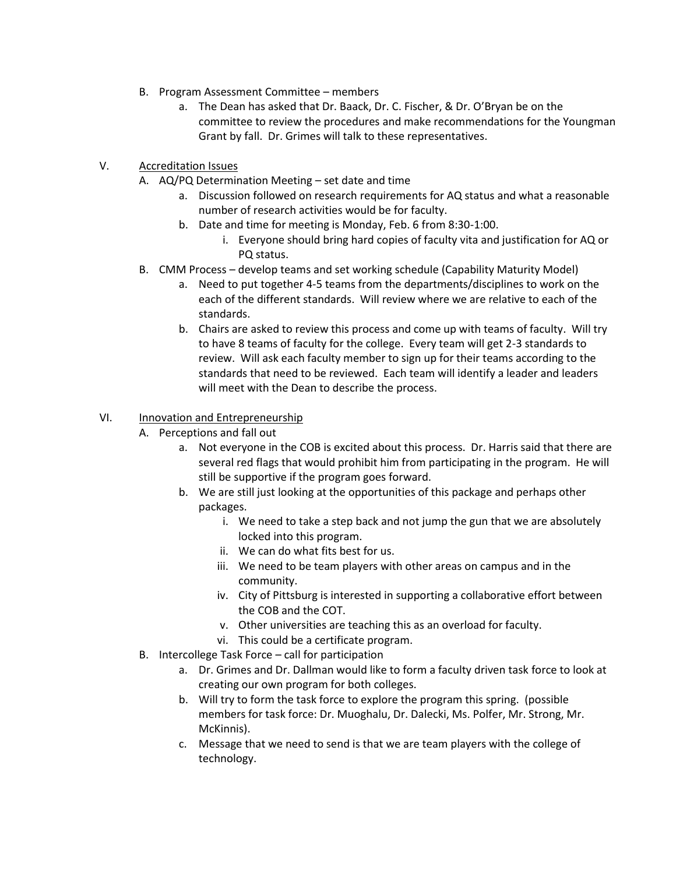- B. Program Assessment Committee members
	- a. The Dean has asked that Dr. Baack, Dr. C. Fischer, & Dr. O'Bryan be on the committee to review the procedures and make recommendations for the Youngman Grant by fall. Dr. Grimes will talk to these representatives.
- V. Accreditation Issues
	- A. AQ/PQ Determination Meeting set date and time
		- a. Discussion followed on research requirements for AQ status and what a reasonable number of research activities would be for faculty.
		- b. Date and time for meeting is Monday, Feb. 6 from 8:30-1:00.
			- i. Everyone should bring hard copies of faculty vita and justification for AQ or PQ status.
	- B. CMM Process develop teams and set working schedule (Capability Maturity Model)
		- a. Need to put together 4-5 teams from the departments/disciplines to work on the each of the different standards. Will review where we are relative to each of the standards.
		- b. Chairs are asked to review this process and come up with teams of faculty. Will try to have 8 teams of faculty for the college. Every team will get 2-3 standards to review. Will ask each faculty member to sign up for their teams according to the standards that need to be reviewed. Each team will identify a leader and leaders will meet with the Dean to describe the process.

#### VI. Innovation and Entrepreneurship

- A. Perceptions and fall out
	- a. Not everyone in the COB is excited about this process. Dr. Harris said that there are several red flags that would prohibit him from participating in the program. He will still be supportive if the program goes forward.
	- b. We are still just looking at the opportunities of this package and perhaps other packages.
		- i. We need to take a step back and not jump the gun that we are absolutely locked into this program.
		- ii. We can do what fits best for us.
		- iii. We need to be team players with other areas on campus and in the community.
		- iv. City of Pittsburg is interested in supporting a collaborative effort between the COB and the COT.
		- v. Other universities are teaching this as an overload for faculty.
		- vi. This could be a certificate program.
- B. Intercollege Task Force call for participation
	- a. Dr. Grimes and Dr. Dallman would like to form a faculty driven task force to look at creating our own program for both colleges.
	- b. Will try to form the task force to explore the program this spring. (possible members for task force: Dr. Muoghalu, Dr. Dalecki, Ms. Polfer, Mr. Strong, Mr. McKinnis).
	- c. Message that we need to send is that we are team players with the college of technology.